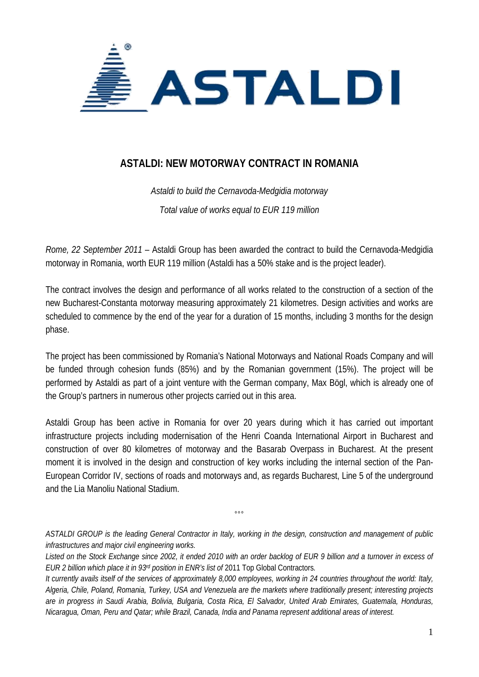

## **ASTALDI: NEW MOTORWAY CONTRACT IN ROMANIA**

*Astaldi to build the Cernavoda-Medgidia motorway Total value of works equal to EUR 119 million* 

*Rome, 22 September 2011* – Astaldi Group has been awarded the contract to build the Cernavoda-Medgidia motorway in Romania, worth EUR 119 million (Astaldi has a 50% stake and is the project leader).

The contract involves the design and performance of all works related to the construction of a section of the new Bucharest-Constanta motorway measuring approximately 21 kilometres. Design activities and works are scheduled to commence by the end of the year for a duration of 15 months, including 3 months for the design phase.

The project has been commissioned by Romania's National Motorways and National Roads Company and will be funded through cohesion funds (85%) and by the Romanian government (15%). The project will be performed by Astaldi as part of a joint venture with the German company, Max Bögl, which is already one of the Group's partners in numerous other projects carried out in this area.

Astaldi Group has been active in Romania for over 20 years during which it has carried out important infrastructure projects including modernisation of the Henri Coanda International Airport in Bucharest and construction of over 80 kilometres of motorway and the Basarab Overpass in Bucharest. At the present moment it is involved in the design and construction of key works including the internal section of the Pan-European Corridor IV, sections of roads and motorways and, as regards Bucharest, Line 5 of the underground and the Lia Manoliu National Stadium.

*ASTALDI GROUP is the leading General Contractor in Italy, working in the design, construction and management of public infrastructures and major civil engineering works.* 

 $^{\circ}$ 

*Listed on the Stock Exchange since 2002, it ended 2010 with an order backlog of EUR 9 billion and a turnover in excess of EUR 2 billion which place it in 93rd position in ENR's list of* 2011 Top Global Contractors*.* 

*It currently avails itself of the services of approximately 8,000 employees, working in 24 countries throughout the world: Italy, Algeria, Chile, Poland, Romania, Turkey, USA and Venezuela are the markets where traditionally present; interesting projects are in progress in Saudi Arabia, Bolivia, Bulgaria, Costa Rica, El Salvador, United Arab Emirates, Guatemala, Honduras, Nicaragua, Oman, Peru and Qatar; while Brazil, Canada, India and Panama represent additional areas of interest.*